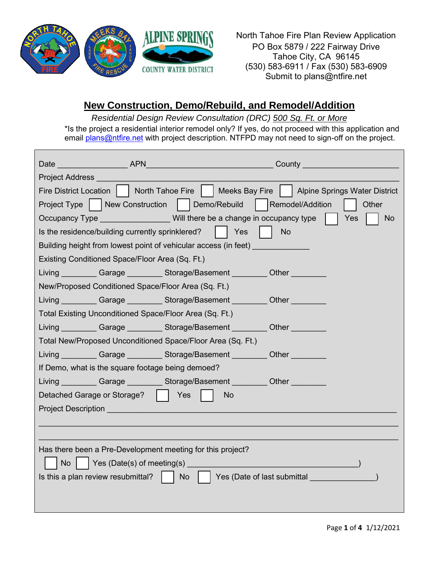

North Tahoe Fire Plan Review Application PO Box 5879 / 222 Fairway Drive Tahoe City, CA 96145 (530) 583-6911 / Fax (530) 583-6909 Submit to plans@ntfire.net

# **New Construction, Demo/Rebuild, and Remodel/Addition**

*Residential Design Review Consultation (DRC) 500 Sq. Ft. or More*

\*Is the project a residential interior remodel only? If yes, do not proceed with this application and email **plans@ntfire.net** with project description. NTFPD may not need to sign-off on the project.

|                                                                                                                                                                                                                                            | Date APN APN                                                    | County <u>________________________</u>                                                           |                  |  |
|--------------------------------------------------------------------------------------------------------------------------------------------------------------------------------------------------------------------------------------------|-----------------------------------------------------------------|--------------------------------------------------------------------------------------------------|------------------|--|
| <b>Project Address</b>                                                                                                                                                                                                                     |                                                                 |                                                                                                  |                  |  |
|                                                                                                                                                                                                                                            |                                                                 | Fire District Location     North Tahoe Fire     Meeks Bay Fire     Alpine Springs Water District |                  |  |
|                                                                                                                                                                                                                                            |                                                                 | Project Type   New Construction   Demo/Rebuild   Remodel/Addition                                | Other            |  |
|                                                                                                                                                                                                                                            |                                                                 | Occupancy Type Will there be a change in occupancy type                                          | Yes<br><b>No</b> |  |
| Is the residence/building currently sprinklered?                                                                                                                                                                                           |                                                                 | Yes<br><b>No</b>                                                                                 |                  |  |
|                                                                                                                                                                                                                                            | Building height from lowest point of vehicular access (in feet) |                                                                                                  |                  |  |
| Existing Conditioned Space/Floor Area (Sq. Ft.)                                                                                                                                                                                            |                                                                 |                                                                                                  |                  |  |
|                                                                                                                                                                                                                                            |                                                                 | Living __________ Garage _________ Storage/Basement _________ Other _________                    |                  |  |
|                                                                                                                                                                                                                                            | New/Proposed Conditioned Space/Floor Area (Sq. Ft.)             |                                                                                                  |                  |  |
|                                                                                                                                                                                                                                            |                                                                 | Living Garage Storage/Basement Cher Cher                                                         |                  |  |
|                                                                                                                                                                                                                                            | Total Existing Unconditioned Space/Floor Area (Sq. Ft.)         |                                                                                                  |                  |  |
|                                                                                                                                                                                                                                            |                                                                 | Living Garage Storage/Basement Cher Cher                                                         |                  |  |
|                                                                                                                                                                                                                                            | Total New/Proposed Unconditioned Space/Floor Area (Sq. Ft.)     |                                                                                                  |                  |  |
|                                                                                                                                                                                                                                            |                                                                 | Living Carage Storage/Basement Other                                                             |                  |  |
|                                                                                                                                                                                                                                            | If Demo, what is the square footage being demoed?               |                                                                                                  |                  |  |
|                                                                                                                                                                                                                                            |                                                                 | Living Garage Storage/Basement Cher Cher                                                         |                  |  |
| Detached Garage or Storage?                                                                                                                                                                                                                | Yes                                                             | No                                                                                               |                  |  |
| <b>Project Description</b>                                                                                                                                                                                                                 |                                                                 |                                                                                                  |                  |  |
|                                                                                                                                                                                                                                            |                                                                 |                                                                                                  |                  |  |
|                                                                                                                                                                                                                                            |                                                                 |                                                                                                  |                  |  |
|                                                                                                                                                                                                                                            | Has there been a Pre-Development meeting for this project?      |                                                                                                  |                  |  |
| and <b>Principal Principal Principal Principal Principal Principal Principal Principal Principal Principal Principal Principal Principal Principal Principal Principal Principal Principal Principal Principal Principal Princip</b><br>No |                                                                 |                                                                                                  |                  |  |
| Is this a plan review resubmittal?<br>  No     Yes (Date of last submittal                                                                                                                                                                 |                                                                 |                                                                                                  |                  |  |
|                                                                                                                                                                                                                                            |                                                                 |                                                                                                  |                  |  |
|                                                                                                                                                                                                                                            |                                                                 |                                                                                                  |                  |  |

Page **1** of **4** 1/12/2021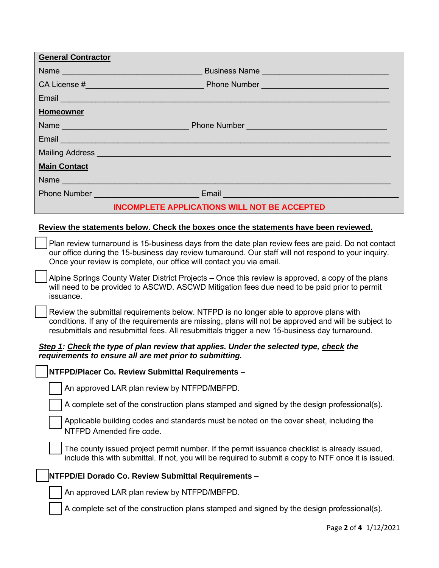| <b>General Contractor</b>                           |                                                                                                                                                                                                                                      |  |  |
|-----------------------------------------------------|--------------------------------------------------------------------------------------------------------------------------------------------------------------------------------------------------------------------------------------|--|--|
|                                                     | Name<br>Business Name                                                                                                                                                                                                                |  |  |
|                                                     |                                                                                                                                                                                                                                      |  |  |
|                                                     | Email <b>Executive Contract Contract Contract Contract Contract Contract Contract Contract Contract Contract Contract Contract Contract Contract Contract Contract Contract Contract Contract Contract Contract Contract Contrac</b> |  |  |
| <b>Homeowner</b>                                    |                                                                                                                                                                                                                                      |  |  |
|                                                     |                                                                                                                                                                                                                                      |  |  |
|                                                     | Email <b>Executive Contract Contract Contract Contract Contract Contract Contract Contract Contract Contract Contract Contract Contract Contract Contract Contract Contract Contract Contract Contract Contract Contract Contrac</b> |  |  |
|                                                     | Mailing Address <b>Contract Contract Contract Contract Contract Contract Contract Contract Contract Contract Contract Contract Contract Contract Contract Contract Contract Contract Contract Contract Contract Contract Contrac</b> |  |  |
| <b>Main Contact</b>                                 |                                                                                                                                                                                                                                      |  |  |
| Name                                                |                                                                                                                                                                                                                                      |  |  |
|                                                     |                                                                                                                                                                                                                                      |  |  |
| <b>INCOMPLETE APPLICATIONS WILL NOT BE ACCEPTED</b> |                                                                                                                                                                                                                                      |  |  |

### **Review the statements below. Check the boxes once the statements have been reviewed.**

Plan review turnaround is 15-business days from the date plan review fees are paid. Do not contact our office during the 15-business day review turnaround. Our staff will not respond to your inquiry. Once your review is complete, our office will contact you via email.

Alpine Springs County Water District Projects – Once this review is approved, a copy of the plans will need to be provided to ASCWD. ASCWD Mitigation fees due need to be paid prior to permit issuance.

Review the submittal requirements below. NTFPD is no longer able to approve plans with conditions. If any of the requirements are missing, plans will not be approved and will be subject to resubmittals and resubmittal fees. All resubmittals trigger a new 15-business day turnaround.

### *Step 1: Check the type of plan review that applies. Under the selected type, check the requirements to ensure all are met prior to submitting.*

## **NTFPD/Placer Co. Review Submittal Requirements** –

An approved LAR plan review by NTFPD/MBFPD.

A complete set of the construction plans stamped and signed by the design professional(s).

Applicable building codes and standards must be noted on the cover sheet, including the NTFPD Amended fire code.

The county issued project permit number. If the permit issuance checklist is already issued, include this with submittal. If not, you will be required to submit a copy to NTF once it is issued.

#### **NTFPD/El Dorado Co. Review Submittal Requirements** –

An approved LAR plan review by NTFPD/MBFPD.

A complete set of the construction plans stamped and signed by the design professional(s).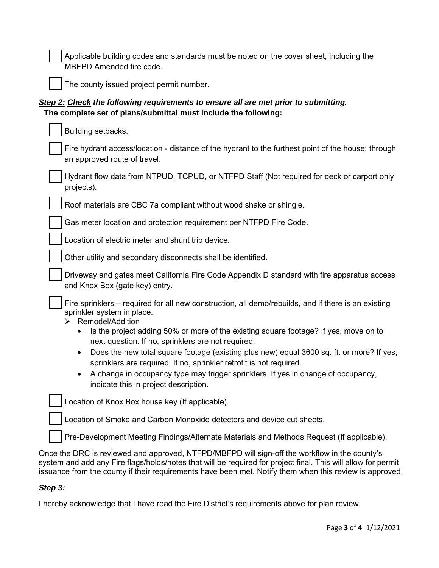Applicable building codes and standards must be noted on the cover sheet, including the MBFPD Amended fire code.

The county issued project permit number.

## *Step 2: Check the following requirements to ensure all are met prior to submitting.*  **The complete set of plans/submittal must include the following:**

| Building setbacks.                                                                                                                                                            |
|-------------------------------------------------------------------------------------------------------------------------------------------------------------------------------|
| Fire hydrant access/location - distance of the hydrant to the furthest point of the house; through<br>an approved route of travel.                                            |
| Hydrant flow data from NTPUD, TCPUD, or NTFPD Staff (Not required for deck or carport only<br>projects).                                                                      |
| Roof materials are CBC 7a compliant without wood shake or shingle.                                                                                                            |
| Gas meter location and protection requirement per NTFPD Fire Code.                                                                                                            |
| Location of electric meter and shunt trip device.                                                                                                                             |
| Other utility and secondary disconnects shall be identified.                                                                                                                  |
| Driveway and gates meet California Fire Code Appendix D standard with fire apparatus access<br>and Knox Box (gate key) entry.                                                 |
| Fire sprinklers – required for all new construction, all demo/rebuilds, and if there is an existing<br>sprinkler system in place.<br>Remodel/Addition                         |
| Is the project adding 50% or more of the existing square footage? If yes, move on to<br>$\bullet$<br>next question. If no, sprinklers are not required.                       |
| Does the new total square footage (existing plus new) equal 3600 sq. ft. or more? If yes,<br>$\bullet$<br>sprinklers are required. If no, sprinkler retrofit is not required. |
| A change in occupancy type may trigger sprinklers. If yes in change of occupancy,<br>indicate this in project description.                                                    |
| Location of Knox Box house key (If applicable).                                                                                                                               |
| Location of Smoke and Carbon Monoxide detectors and device cut sheets.                                                                                                        |
| Pre-Development Meeting Findings/Alternate Materials and Methods Request (If applicable).                                                                                     |
| nee the DDC is reviewed and enneaved. NITEDD (MDEDD will sign off the werkflow in the equative                                                                                |

Once the DRC is reviewed and approved, NTFPD/MBFPD will sign-off the workflow in the county's system and add any Fire flags/holds/notes that will be required for project final. This will allow for permit issuance from the county if their requirements have been met. Notify them when this review is approved.

## *Step 3:*

I hereby acknowledge that I have read the Fire District's requirements above for plan review.